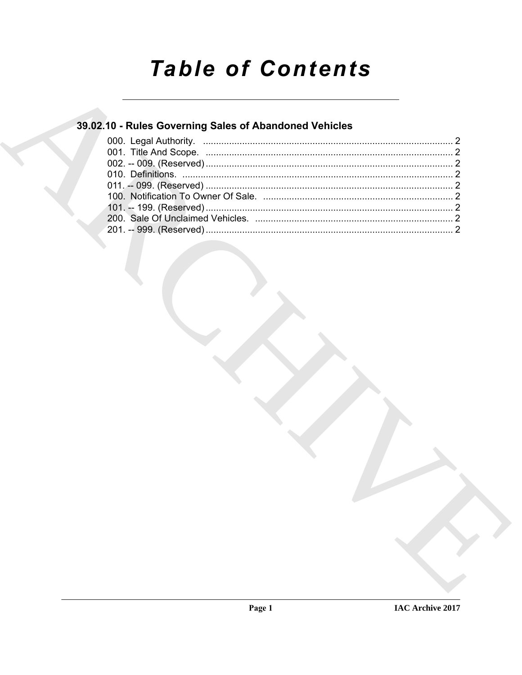# **Table of Contents**

### 39.02.10 - Rules Governing Sales of Abandoned Vehicles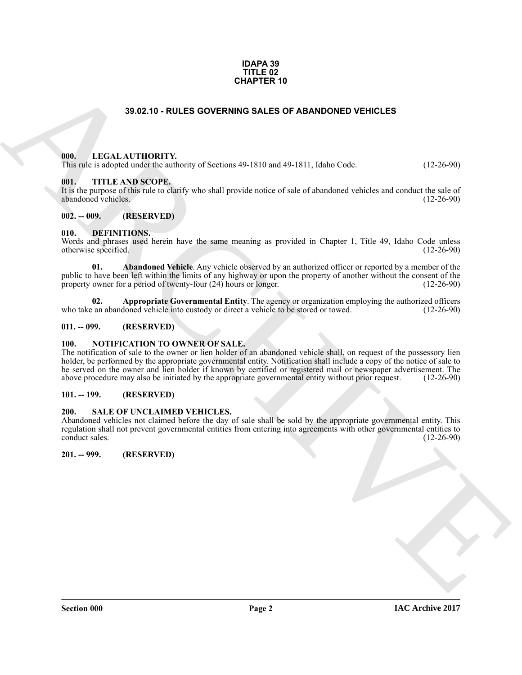#### **IDAPA 39 TITLE 02 CHAPTER 10**

### **39.02.10 - RULES GOVERNING SALES OF ABANDONED VEHICLES**

#### <span id="page-1-1"></span><span id="page-1-0"></span>**000. LEGAL AUTHORITY.**

This rule is adopted under the authority of Sections 49-1810 and 49-1811, Idaho Code. (12-26-90)

#### <span id="page-1-2"></span>**001. TITLE AND SCOPE.**

It is the purpose of this rule to clarify who shall provide notice of sale of abandoned vehicles and conduct the sale of abandoned vehicles. (12-26-90) abandoned vehicles.

#### <span id="page-1-3"></span>**002. -- 009. (RESERVED)**

#### <span id="page-1-10"></span><span id="page-1-4"></span>**010. DEFINITIONS.**

Words and phrases used herein have the same meaning as provided in Chapter 1, Title 49, Idaho Code unless otherwise specified. (12-26-90) otherwise specified.

<span id="page-1-11"></span>**01. Abandoned Vehicle**. Any vehicle observed by an authorized officer or reported by a member of the public to have been left within the limits of any highway or upon the property of another without the consent of the property owner for a period of twenty-four (24) hours or longer. (12-26-90) property owner for a period of twenty-four  $(24)$  hours or longer.

<span id="page-1-12"></span>**02. Appropriate Governmental Entity**. The agency or organization employing the authorized officers who take an abandoned vehicle into custody or direct a vehicle to be stored or towed. (12-26-90)

#### <span id="page-1-5"></span>**011. -- 099. (RESERVED)**

#### <span id="page-1-13"></span><span id="page-1-6"></span>**100. NOTIFICATION TO OWNER OF SALE.**

**39.82.10 - RULES GOVERNING SALES OF ABANDONED VEHICLES**<br> **ARCHIVES CONSUMERATES**<br> **ARCHIVES CONSUMERATES**<br> **ARCHIVES CONSUMERATES**<br> **ARCHIVES CONSUMERATES**<br> **ARCHIVES CONSUMERATES**<br> **ARCHIVES CONSUMERATES**<br> **ARCHIVES CON** The notification of sale to the owner or lien holder of an abandoned vehicle shall, on request of the possessory lien holder, be performed by the appropriate governmental entity. Notification shall include a copy of the notice of sale to be served on the owner and lien holder if known by certified or registered mail or newspaper advertisement. The above procedure may also be initiated by the appropriate governmental entity without prior request. (12-26-90) above procedure may also be initiated by the appropriate governmental entity without prior request.

#### <span id="page-1-7"></span>**101. -- 199. (RESERVED)**

#### <span id="page-1-14"></span><span id="page-1-8"></span>**200. SALE OF UNCLAIMED VEHICLES.**

Abandoned vehicles not claimed before the day of sale shall be sold by the appropriate governmental entity. This regulation shall not prevent governmental entities from entering into agreements with other governmental entities to conduct sales. (12-26-90)

<span id="page-1-9"></span>**201. -- 999. (RESERVED)**